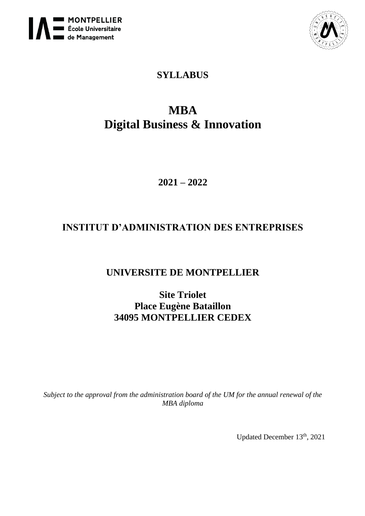



# **SYLLABUS**

# **MBA Digital Business & Innovation**

**2021 – 2022**

# **INSTITUT D'ADMINISTRATION DES ENTREPRISES**

# **UNIVERSITE DE MONTPELLIER**

**Site Triolet Place Eugène Bataillon 34095 MONTPELLIER CEDEX**

*Subject to the approval from the administration board of the UM for the annual renewal of the MBA diploma*

Updated December 13<sup>th</sup>, 2021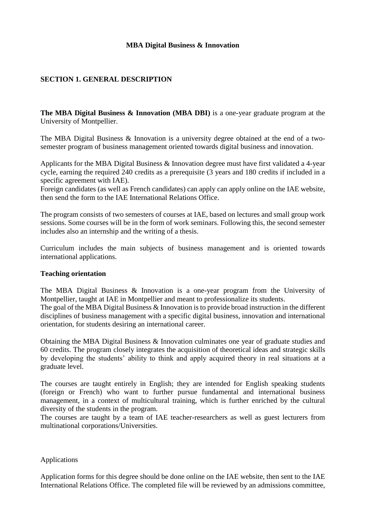#### **MBA Digital Business & Innovation**

# **SECTION 1. GENERAL DESCRIPTION**

**The MBA Digital Business & Innovation (MBA DBI)** is a one-year graduate program at the University of Montpellier.

The MBA Digital Business & Innovation is a university degree obtained at the end of a twosemester program of business management oriented towards digital business and innovation.

Applicants for the MBA Digital Business & Innovation degree must have first validated a 4-year cycle, earning the required 240 credits as a prerequisite (3 years and 180 credits if included in a specific agreement with IAE).

Foreign candidates (as well as French candidates) can apply can apply online on the IAE website, then send the form to the IAE International Relations Office.

The program consists of two semesters of courses at IAE, based on lectures and small group work sessions. Some courses will be in the form of work seminars. Following this, the second semester includes also an internship and the writing of a thesis.

Curriculum includes the main subjects of business management and is oriented towards international applications.

#### **Teaching orientation**

The MBA Digital Business & Innovation is a one-year program from the University of Montpellier, taught at IAE in Montpellier and meant to professionalize its students.

The goal of the MBA Digital Business & Innovation is to provide broad instruction in the different disciplines of business management with a specific digital business, innovation and international orientation, for students desiring an international career.

Obtaining the MBA Digital Business & Innovation culminates one year of graduate studies and 60 credits. The program closely integrates the acquisition of theoretical ideas and strategic skills by developing the students' ability to think and apply acquired theory in real situations at a graduate level.

The courses are taught entirely in English; they are intended for English speaking students (foreign or French) who want to further pursue fundamental and international business management, in a context of multicultural training, which is further enriched by the cultural diversity of the students in the program.

The courses are taught by a team of IAE teacher-researchers as well as guest lecturers from multinational corporations/Universities.

#### Applications

Application forms for this degree should be done online on the IAE website, then sent to the IAE International Relations Office. The completed file will be reviewed by an admissions committee,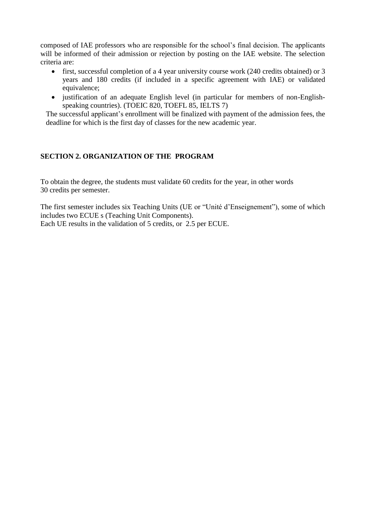composed of IAE professors who are responsible for the school's final decision. The applicants will be informed of their admission or rejection by posting on the IAE website. The selection criteria are:

- first, successful completion of a 4 year university course work (240 credits obtained) or 3 years and 180 credits (if included in a specific agreement with IAE) or validated equivalence;
- justification of an adequate English level (in particular for members of non-Englishspeaking countries). (TOEIC 820, TOEFL 85, IELTS 7)

The successful applicant's enrollment will be finalized with payment of the admission fees, the deadline for which is the first day of classes for the new academic year.

# **SECTION 2. ORGANIZATION OF THE PROGRAM**

To obtain the degree, the students must validate 60 credits for the year, in other words 30 credits per semester.

The first semester includes six Teaching Units (UE or "Unité d'Enseignement"), some of which includes two ECUE s (Teaching Unit Components). Each UE results in the validation of 5 credits, or 2.5 per ECUE.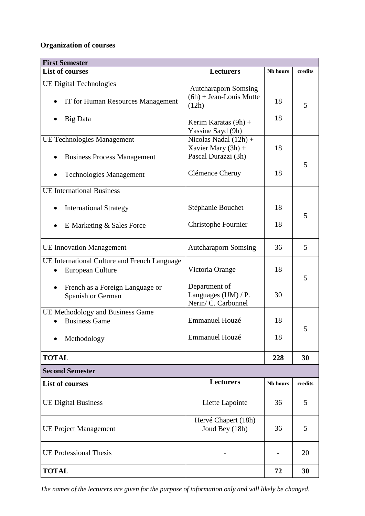# **Organization of courses**

| <b>First Semester</b>                                                   |                                                                        |          |         |  |
|-------------------------------------------------------------------------|------------------------------------------------------------------------|----------|---------|--|
| <b>List of courses</b>                                                  | Lecturers                                                              | Nb hours | credits |  |
| <b>UE Digital Technologies</b><br>IT for Human Resources Management     | <b>Autcharaporn Somsing</b><br>$(6h) + Jean-Louis Mutte$<br>(12h)      | 18       | 5       |  |
| Big Data                                                                | Kerim Karatas $(9h)$ +<br>Yassine Sayd (9h)                            | 18       |         |  |
| <b>UE Technologies Management</b><br><b>Business Process Management</b> | Nicolas Nadal $(12h)$ +<br>Xavier Mary $(3h)$ +<br>Pascal Durazzi (3h) | 18       |         |  |
| <b>Technologies Management</b>                                          | Clémence Cheruy                                                        | 18       | 5       |  |
| <b>UE</b> International Business                                        |                                                                        |          |         |  |
| <b>International Strategy</b>                                           | Stéphanie Bouchet                                                      | 18       | 5       |  |
| E-Marketing & Sales Force                                               | Christophe Fournier                                                    | 18       |         |  |
| <b>UE</b> Innovation Management                                         | <b>Autcharaporn Somsing</b>                                            | 36       | 5       |  |
| UE International Culture and French Language<br>European Culture        | Victoria Orange                                                        | 18       | 5       |  |
| French as a Foreign Language or<br>Spanish or German                    | Department of<br>Languages (UM) / P.<br>Nerin/ C. Carbonnel            | 30       |         |  |
| UE Methodology and Business Game<br><b>Business Game</b>                | Emmanuel Houzé                                                         | 18       | 5       |  |
| Methodology                                                             | Emmanuel Houzé                                                         | 18       |         |  |
| <b>TOTAL</b>                                                            |                                                                        | 228      | 30      |  |
| <b>Second Semester</b>                                                  |                                                                        |          |         |  |
| <b>List of courses</b>                                                  | <b>Lecturers</b>                                                       | Nb hours | credits |  |
| <b>UE Digital Business</b>                                              | Liette Lapointe                                                        | 36       | 5       |  |
| <b>UE Project Management</b>                                            | Hervé Chapert (18h)<br>Joud Bey (18h)                                  | 36       | 5       |  |
| <b>UE Professional Thesis</b>                                           |                                                                        |          | 20      |  |
| <b>TOTAL</b>                                                            |                                                                        | 72       | 30      |  |

*The names of the lecturers are given for the purpose of information only and will likely be changed.*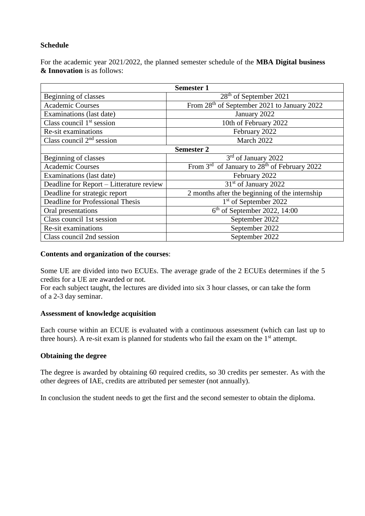## **Schedule**

For the academic year 2021/2022, the planned semester schedule of the **MBA Digital business & Innovation** is as follows:

| <b>Semester 1</b>                        |                                                                      |  |  |
|------------------------------------------|----------------------------------------------------------------------|--|--|
| Beginning of classes                     | $28th$ of September 2021                                             |  |  |
| <b>Academic Courses</b>                  | From 28 <sup>th</sup> of September 2021 to January 2022              |  |  |
| Examinations (last date)                 | January 2022                                                         |  |  |
| Class council $1st$ session              | 10th of February 2022                                                |  |  |
| Re-sit examinations                      | February 2022                                                        |  |  |
| Class council $2nd$ session              | March 2022                                                           |  |  |
|                                          | <b>Semester 2</b>                                                    |  |  |
| Beginning of classes                     | 3 <sup>rd</sup> of January 2022                                      |  |  |
| <b>Academic Courses</b>                  | From 3 <sup>rd</sup> of January to 28 <sup>th</sup> of February 2022 |  |  |
| Examinations (last date)                 | February 2022                                                        |  |  |
| Deadline for Report - Litterature review | $31st$ of January 2022                                               |  |  |
| Deadline for strategic report            | 2 months after the beginning of the internship                       |  |  |
| Deadline for Professional Thesis         | 1 <sup>st</sup> of September 2022                                    |  |  |
| Oral presentations                       | $6th$ of September 2022, 14:00                                       |  |  |
| Class council 1st session                | September 2022                                                       |  |  |
| Re-sit examinations                      | September 2022                                                       |  |  |
| Class council 2nd session                | September 2022                                                       |  |  |

#### **Contents and organization of the courses**:

Some UE are divided into two ECUEs. The average grade of the 2 ECUEs determines if the 5 credits for a UE are awarded or not.

For each subject taught, the lectures are divided into six 3 hour classes, or can take the form of a 2-3 day seminar.

#### **Assessment of knowledge acquisition**

Each course within an ECUE is evaluated with a continuous assessment (which can last up to three hours). A re-sit exam is planned for students who fail the exam on the  $1<sup>st</sup>$  attempt.

#### **Obtaining the degree**

The degree is awarded by obtaining 60 required credits, so 30 credits per semester. As with the other degrees of IAE, credits are attributed per semester (not annually).

In conclusion the student needs to get the first and the second semester to obtain the diploma.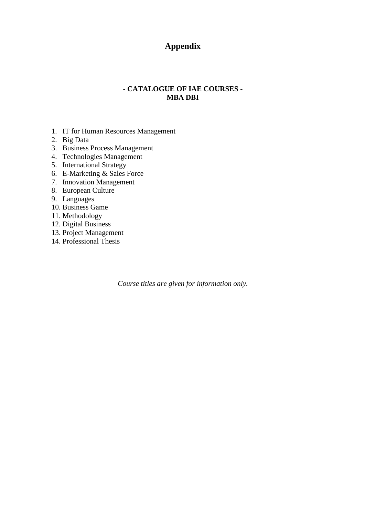# **Appendix**

# **- CATALOGUE OF IAE COURSES - MBA DBI**

- 1. IT for Human Resources Management
- 2. Big Data
- 3. Business Process Management
- 4. Technologies Management
- 5. International Strategy
- 6. E-Marketing & Sales Force
- 7. Innovation Management
- 8. European Culture
- 9. Languages
- 10. Business Game
- 11. Methodology
- 12. Digital Business
- 13. Project Management
- 14. Professional Thesis

*Course titles are given for information only.*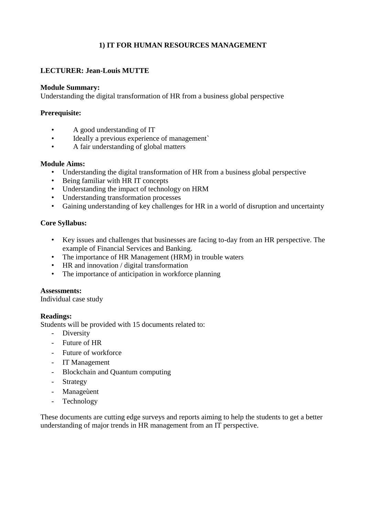# **1) IT FOR HUMAN RESOURCES MANAGEMENT**

# **LECTURER: Jean-Louis MUTTE**

#### **Module Summary:**

Understanding the digital transformation of HR from a business global perspective

## **Prerequisite:**

- A good understanding of IT
- Ideally a previous experience of management`
- A fair understanding of global matters

#### **Module Aims:**

- Understanding the digital transformation of HR from a business global perspective
- Being familiar with HR IT concepts
- Understanding the impact of technology on HRM
- Understanding transformation processes
- Gaining understanding of key challenges for HR in a world of disruption and uncertainty

## **Core Syllabus:**

- Key issues and challenges that businesses are facing to-day from an HR perspective. The example of Financial Services and Banking.
- The importance of HR Management (HRM) in trouble waters
- HR and innovation / digital transformation
- The importance of anticipation in workforce planning

#### **Assessments:**

Individual case study

#### **Readings:**

Students will be provided with 15 documents related to:

- Diversity
- Future of HR
- Future of workforce
- IT Management
- Blockchain and Quantum computing
- **Strategy**
- Manageùent
- Technology

These documents are cutting edge surveys and reports aiming to help the students to get a better understanding of major trends in HR management from an IT perspective.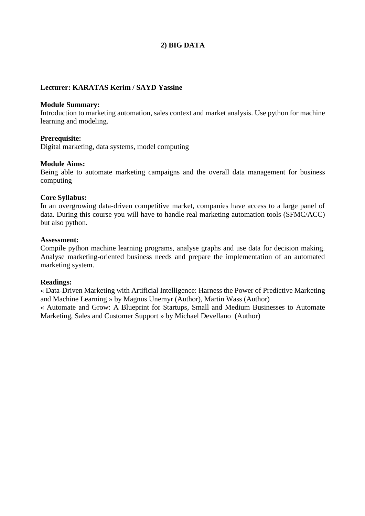# **2) BIG DATA**

#### **Lecturer: KARATAS Kerim / SAYD Yassine**

#### **Module Summary:**

Introduction to marketing automation, sales context and market analysis. Use python for machine learning and modeling.

#### **Prerequisite:**

Digital marketing, data systems, model computing

#### **Module Aims:**

Being able to automate marketing campaigns and the overall data management for business computing

#### **Core Syllabus:**

In an overgrowing data-driven competitive market, companies have access to a large panel of data. During this course you will have to handle real marketing automation tools (SFMC/ACC) but also python.

### **Assessment:**

Compile python machine learning programs, analyse graphs and use data for decision making. Analyse marketing-oriented business needs and prepare the implementation of an automated marketing system.

#### **Readings:**

« Data-Driven Marketing with Artificial Intelligence: Harness the Power of Predictive Marketing and Machine Learning » by Magnus Unemyr (Author), Martin Wass (Author) « Automate and Grow: A Blueprint for Startups, Small and Medium Businesses to Automate

Marketing, Sales and Customer Support » by Michael Devellano (Author)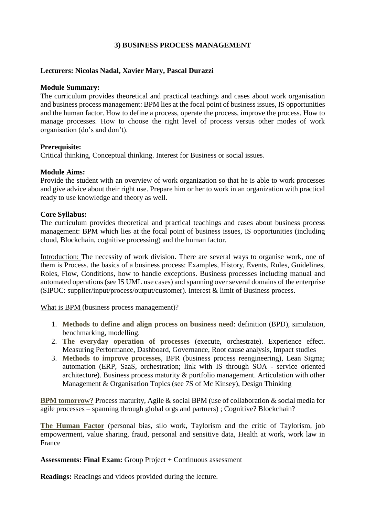## **3) BUSINESS PROCESS MANAGEMENT**

## **Lecturers: Nicolas Nadal, Xavier Mary, Pascal Durazzi**

#### **Module Summary:**

The curriculum provides theoretical and practical teachings and cases about work organisation and business process management: BPM lies at the focal point of business issues, IS opportunities and the human factor. How to define a process, operate the process, improve the process. How to manage processes. How to choose the right level of process versus other modes of work organisation (do's and don't).

#### **Prerequisite:**

Critical thinking, Conceptual thinking. Interest for Business or social issues.

#### **Module Aims:**

Provide the student with an overview of work organization so that he is able to work processes and give advice about their right use. Prepare him or her to work in an organization with practical ready to use knowledge and theory as well.

#### **Core Syllabus:**

The curriculum provides theoretical and practical teachings and cases about business process management: BPM which lies at the focal point of business issues, IS opportunities (including cloud, Blockchain, cognitive processing) and the human factor.

Introduction: The necessity of work division. There are several ways to organise work, one of them is Process. the basics of a business process: Examples, History, Events, Rules, Guidelines, Roles, Flow, Conditions, how to handle exceptions. Business processes including manual and automated operations (see IS UML use cases) and spanning over several domains of the enterprise (SIPOC: supplier/input/process/output/customer). Interest & limit of Business process.

What is BPM (business process management)?

- 1. **Methods to define and align process on business need**: definition (BPD), simulation, benchmarking, modelling.
- 2. **The everyday operation of processes** (execute, orchestrate). Experience effect. Measuring Performance, Dashboard, Governance, Root cause analysis, Impact studies
- 3. **Methods to improve processes**, BPR (business process reengineering), Lean Sigma; automation (ERP, SaaS, orchestration; link with IS through SOA - service oriented architecture). Business process maturity & portfolio management. Articulation with other Management & Organisation Topics (see 7S of Mc Kinsey), Design Thinking

**BPM tomorrow?** Process maturity, Agile & social BPM (use of collaboration & social media for agile processes – spanning through global orgs and partners) ; Cognitive? Blockchain?

**The Human Factor** (personal bias, silo work, Taylorism and the critic of Taylorism, job empowerment, value sharing, fraud, personal and sensitive data, Health at work, work law in France

**Assessments: Final Exam:** Group Project + Continuous assessment

**Readings:** Readings and videos provided during the lecture.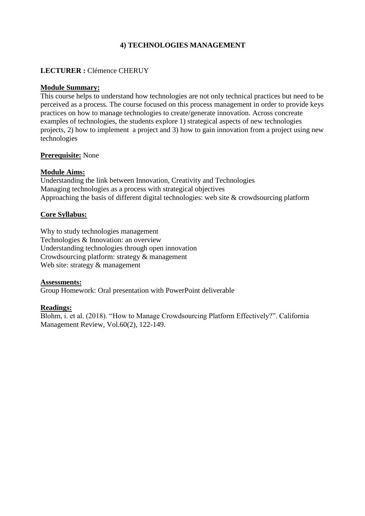# **4) TECHNOLOGIES MANAGEMENT**

# **LECTURER :** Clémence CHERUY

### **Module Summary:**

This course helps to understand how technologies are not only technical practices but need to be perceived as a process. The course focused on this process management in order to provide keys practices on how to manage technologies to create/generate innovation. Across concreate examples of technologies, the students explore 1) strategical aspects of new technologies projects, 2) how to implement a project and 3) how to gain innovation from a project using new technologies

## **Prerequisite:** None

## **Module Aims:**

Understanding the link between Innovation, Creativity and Technologies Managing technologies as a process with strategical objectives Approaching the basis of different digital technologies: web site & crowdsourcing platform

## **Core Syllabus:**

Why to study technologies management Technologies & Innovation: an overview Understanding technologies through open innovation Crowdsourcing platform: strategy & management Web site: strategy & management

#### **Assessments:**

Group Homework: Oral presentation with PowerPoint deliverable

#### **Readings:**

Blohm, i. et al. (2018). "How to Manage Crowdsourcing Platform Effectively?". California Management Review, Vol.60(2), 122-149.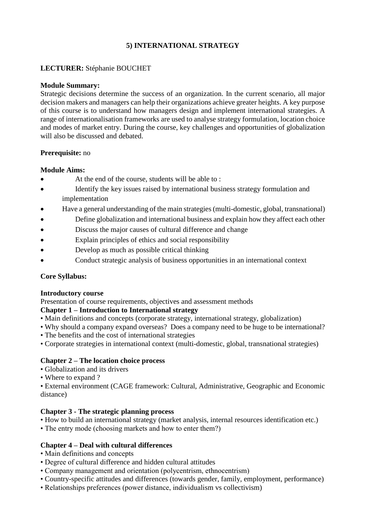# **5) INTERNATIONAL STRATEGY**

# **LECTURER:** Stéphanie BOUCHET

#### **Module Summary:**

Strategic decisions determine the success of an organization. In the current scenario, all major decision makers and managers can help their organizations achieve greater heights. A key purpose of this course is to understand how managers design and implement international strategies. A range of internationalisation frameworks are used to analyse strategy formulation, location choice and modes of market entry. During the course, key challenges and opportunities of globalization will also be discussed and debated.

#### **Prerequisite:** no

#### **Module Aims:**

- At the end of the course, students will be able to :
- Identify the key issues raised by international business strategy formulation and implementation
- Have a general understanding of the main strategies (multi-domestic, global, transnational)
- Define globalization and international business and explain how they affect each other
- Discuss the major causes of cultural difference and change
- Explain principles of ethics and social responsibility
- Develop as much as possible critical thinking
- Conduct strategic analysis of business opportunities in an international context

#### **Core Syllabus:**

#### **Introductory course**

Presentation of course requirements, objectives and assessment methods

#### **Chapter 1 – Introduction to International strategy**

- Main definitions and concepts (corporate strategy, international strategy, globalization)
- Why should a company expand overseas? Does a company need to be huge to be international?
- The benefits and the cost of international strategies
- Corporate strategies in international context (multi-domestic, global, transnational strategies)

# **Chapter 2 – The location choice process**

- Globalization and its drivers
- Where to expand ?

• External environment (CAGE framework: Cultural, Administrative, Geographic and Economic distance)

# **Chapter 3 - The strategic planning process**

- How to build an international strategy (market analysis, internal resources identification etc.)
- The entry mode (choosing markets and how to enter them?)

# **Chapter 4 – Deal with cultural differences**

- Main definitions and concepts
- Degree of cultural difference and hidden cultural attitudes
- Company management and orientation (polycentrism, ethnocentrism)
- Country-specific attitudes and differences (towards gender, family, employment, performance)
- Relationships preferences (power distance, individualism vs collectivism)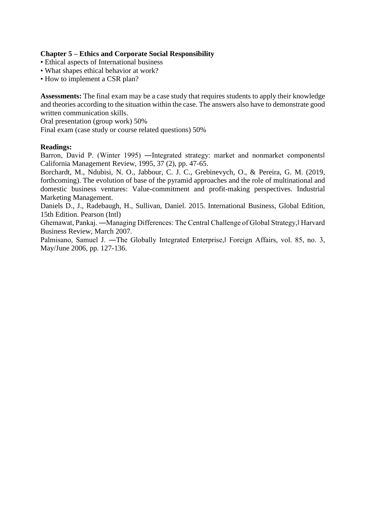# **Chapter 5 – Ethics and Corporate Social Responsibility**

- Ethical aspects of International business
- What shapes ethical behavior at work?
- How to implement a CSR plan?

**Assessments:** The final exam may be a case study that requires students to apply their knowledge and theories according to the situation within the case. The answers also have to demonstrate good written communication skills.

Oral presentation (group work) 50%

Final exam (case study or course related questions) 50%

# **Readings:**

Barron, David P. (Winter 1995) —Integrated strategy: market and nonmarket components California Management Review, 1995, 37 (2), pp. 47-65.

Borchardt, M., Ndubisi, N. O., Jabbour, C. J. C., Grebinevych, O., & Pereira, G. M. (2019, forthcoming). The evolution of base of the pyramid approaches and the role of multinational and domestic business ventures: Value-commitment and profit-making perspectives. Industrial Marketing Management.

Daniels D., J., Radebaugh, H., Sullivan, Daniel. 2015. International Business, Global Edition, 15th Edition. Pearson (Intl)

Ghemawat, Pankaj. —Managing Differences: The Central Challenge of Global Strategy, Harvard Business Review, March 2007.

Palmisano, Samuel J. — The Globally Integrated Enterprise, Foreign Affairs, vol. 85, no. 3, May/June 2006, pp. 127-136.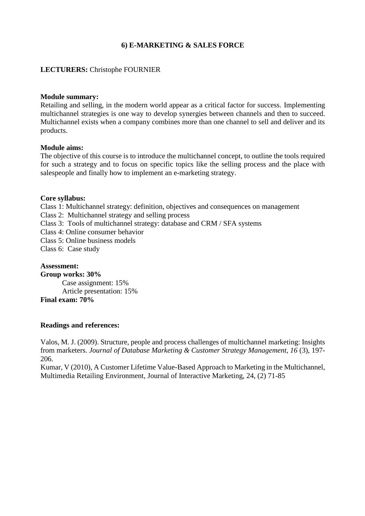## **6) E-MARKETING & SALES FORCE**

#### **LECTURERS:** Christophe FOURNIER

#### **Module summary:**

Retailing and selling, in the modern world appear as a critical factor for success. Implementing multichannel strategies is one way to develop synergies between channels and then to succeed. Multichannel exists when a company combines more than one channel to sell and deliver and its products.

#### **Module aims:**

The objective of this course is to introduce the multichannel concept, to outline the tools required for such a strategy and to focus on specific topics like the selling process and the place with salespeople and finally how to implement an e-marketing strategy.

#### **Core syllabus:**

Class 1: Multichannel strategy: definition, objectives and consequences on management

Class 2: Multichannel strategy and selling process

Class 3: Tools of multichannel strategy: database and CRM / SFA systems

Class 4: Online consumer behavior

Class 5: Online business models

Class 6: Case study

#### **Assessment:**

**Group works: 30%** Case assignment: 15% Article presentation: 15% **Final exam: 70%**

#### **Readings and references:**

Valos, M. J. (2009). Structure, people and process challenges of multichannel marketing: Insights from marketers. *Journal of Database Marketing & Customer Strategy Management, 16* (3), 197- 206.

Kumar, V (2010), A Customer Lifetime Value-Based Approach to Marketing in the Multichannel, Multimedia Retailing Environment, Journal of Interactive Marketing, 24, (2) 71-85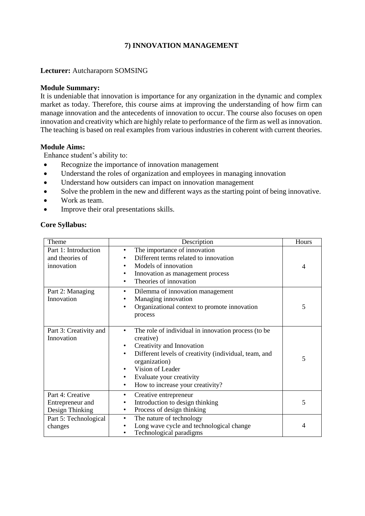# **7) INNOVATION MANAGEMENT**

## **Lecturer:** Autcharaporn SOMSING

#### **Module Summary:**

It is undeniable that innovation is importance for any organization in the dynamic and complex market as today. Therefore, this course aims at improving the understanding of how firm can manage innovation and the antecedents of innovation to occur. The course also focuses on open innovation and creativity which are highly relate to performance of the firm as well as innovation. The teaching is based on real examples from various industries in coherent with current theories.

#### **Module Aims:**

Enhance student's ability to:

- Recognize the importance of innovation management
- Understand the roles of organization and employees in managing innovation
- Understand how outsiders can impact on innovation management
- Solve the problem in the new and different ways as the starting point of being innovative.
- Work as team.
- Improve their oral presentations skills.

#### **Core Syllabus:**

| Theme                                                   | Description                                                                                                                                                                                                                                                                                          | Hours |
|---------------------------------------------------------|------------------------------------------------------------------------------------------------------------------------------------------------------------------------------------------------------------------------------------------------------------------------------------------------------|-------|
| Part 1: Introduction<br>and theories of<br>innovation   | The importance of innovation<br>٠<br>Different terms related to innovation<br>Models of innovation<br>٠<br>Innovation as management process<br>٠<br>Theories of innovation<br>$\bullet$                                                                                                              | 4     |
| Part 2: Managing<br>Innovation                          | Dilemma of innovation management<br>٠<br>Managing innovation<br>Organizational context to promote innovation<br>٠<br>process                                                                                                                                                                         | 5     |
| Part 3: Creativity and<br>Innovation                    | The role of individual in innovation process (to be<br>creative)<br>Creativity and Innovation<br>٠<br>Different levels of creativity (individual, team, and<br>$\bullet$<br>organization)<br>Vision of Leader<br>٠<br>Evaluate your creativity<br>٠<br>How to increase your creativity?<br>$\bullet$ | 5     |
| Part 4: Creative<br>Entrepreneur and<br>Design Thinking | Creative entrepreneur<br>$\bullet$<br>Introduction to design thinking<br>٠<br>Process of design thinking<br>$\bullet$                                                                                                                                                                                | 5     |
| Part 5: Technological<br>changes                        | The nature of technology<br>$\bullet$<br>Long wave cycle and technological change<br>٠<br>Technological paradigms                                                                                                                                                                                    | 4     |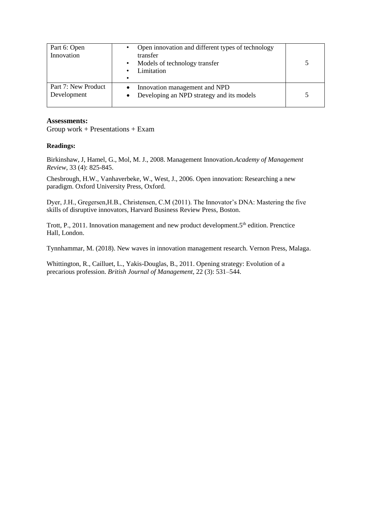| Part 6: Open<br>Innovation         | Open innovation and different types of technology<br>transfer<br>Models of technology transfer<br>$\bullet$<br>Limitation<br>٠<br>$\bullet$ |  |
|------------------------------------|---------------------------------------------------------------------------------------------------------------------------------------------|--|
| Part 7: New Product<br>Development | Innovation management and NPD<br>Developing an NPD strategy and its models                                                                  |  |

#### **Assessments:**

Group work + Presentations + Exam

#### **Readings:**

Birkinshaw, J, Hamel, G., Mol, M. J., 2008. Management Innovation.*Academy of Management Review*, 33 (4): 825-845.

Chesbrough, H.W., Vanhaverbeke, W., West, J., 2006. Open innovation: Researching a new paradigm. Oxford University Press, Oxford.

Dyer, J.H., Gregersen,H.B., Christensen, C.M (2011). The Innovator's DNA: Mastering the five skills of disruptive innovators, Harvard Business Review Press, Boston.

Trott, P., 2011. Innovation management and new product development. 5<sup>th</sup> edition. Prenctice Hall, London.

Tynnhammar, M. (2018). New waves in innovation management research. Vernon Press, Malaga.

Whittington, R., Cailluet, L., Yakis-Douglas, B., 2011. Opening strategy: Evolution of a precarious profession. *British Journal of Management,* 22 (3): 531–544.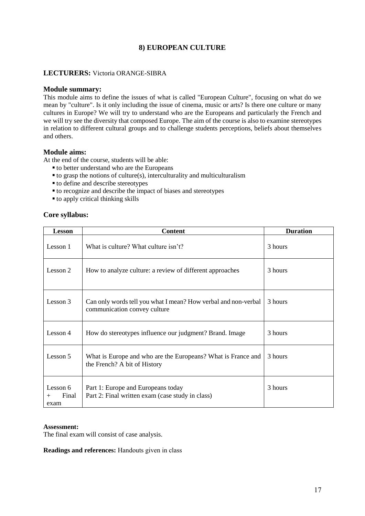# **8) EUROPEAN CULTURE**

#### **LECTURERS:** Victoria ORANGE-SIBRA

#### **Module summary:**

This module aims to define the issues of what is called "European Culture", focusing on what do we mean by "culture". Is it only including the issue of cinema, music or arts? Is there one culture or many cultures in Europe? We will try to understand who are the Europeans and particularly the French and we will try see the diversity that composed Europe. The aim of the course is also to examine stereotypes in relation to different cultural groups and to challenge students perceptions, beliefs about themselves and others.

#### **Module aims:**

At the end of the course, students will be able:

- to better understand who are the Europeans
- $\bullet$  to grasp the notions of culture(s), interculturality and multiculturalism
- to define and describe stereotypes
- to recognize and describe the impact of biases and stereotypes
- $\bullet$  to apply critical thinking skills

#### **Core syllabus:**

| <b>Lesson</b>                       | <b>Content</b>                                                                                 | <b>Duration</b> |
|-------------------------------------|------------------------------------------------------------------------------------------------|-----------------|
| Lesson 1                            | What is culture? What culture isn't?                                                           | 3 hours         |
| Lesson 2                            | How to analyze culture: a review of different approaches                                       | 3 hours         |
| Lesson 3                            | Can only words tell you what I mean? How verbal and non-verbal<br>communication convey culture | 3 hours         |
| Lesson 4                            | How do stereotypes influence our judgment? Brand. Image                                        | 3 hours         |
| Lesson 5                            | What is Europe and who are the Europeans? What is France and<br>the French? A bit of History   | 3 hours         |
| Lesson 6<br>Final<br>$^{+}$<br>exam | Part 1: Europe and Europeans today<br>Part 2: Final written exam (case study in class)         | 3 hours         |

#### **Assessment:**

The final exam will consist of case analysis.

**Readings and references:** Handouts given in class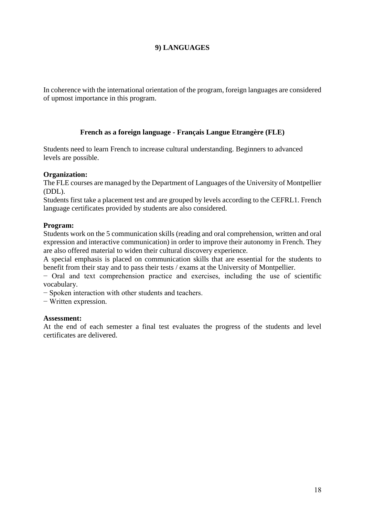# **9) LANGUAGES**

In coherence with the international orientation of the program, foreign languages are considered of upmost importance in this program.

## **French as a foreign language - Français Langue Etrangère (FLE)**

Students need to learn French to increase cultural understanding. Beginners to advanced levels are possible.

#### **Organization:**

The FLE courses are managed by the Department of Languages of the University of Montpellier (DDL).

Students first take a placement test and are grouped by levels according to the CEFRL1. French language certificates provided by students are also considered.

#### **Program:**

Students work on the 5 communication skills (reading and oral comprehension, written and oral expression and interactive communication) in order to improve their autonomy in French. They are also offered material to widen their cultural discovery experience.

A special emphasis is placed on communication skills that are essential for the students to benefit from their stay and to pass their tests / exams at the University of Montpellier.

− Oral and text comprehension practice and exercises, including the use of scientific vocabulary.

− Spoken interaction with other students and teachers.

− Written expression.

#### **Assessment:**

At the end of each semester a final test evaluates the progress of the students and level certificates are delivered.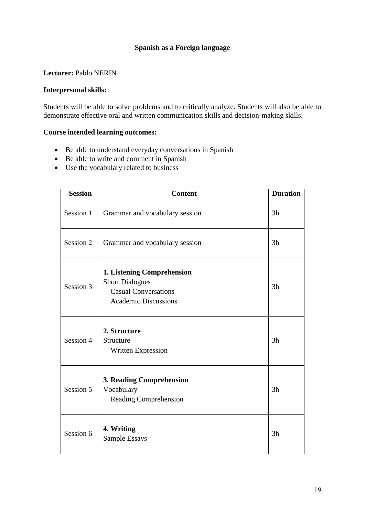# **Spanish as a Foreign language**

### **Lecturer:** Pablo NERIN

#### **Interpersonal skills:**

Students will be able to solve problems and to critically analyze. Students will also be able to demonstrate effective oral and written communication skills and decision-making skills.

# **Course intended learning outcomes:**

- Be able to understand everyday conversations in Spanish
- Be able to write and comment in Spanish
- Use the vocabulary related to business

| <b>Session</b> | <b>Content</b>                                                                                                            | <b>Duration</b> |
|----------------|---------------------------------------------------------------------------------------------------------------------------|-----------------|
| Session 1      | Grammar and vocabulary session                                                                                            | 3h              |
| Session 2      | Grammar and vocabulary session                                                                                            | 3h              |
| Session 3      | <b>1. Listening Comprehension</b><br><b>Short Dialogues</b><br><b>Casual Conversations</b><br><b>Academic Discussions</b> | 3h              |
| Session 4      | 2. Structure<br>Structure<br>Written Expression                                                                           | 3h              |
| Session 5      | <b>3. Reading Comprehension</b><br>Vocabulary<br>Reading Comprehension                                                    | 3h              |
| Session 6      | 4. Writing<br>Sample Essays                                                                                               | 3h              |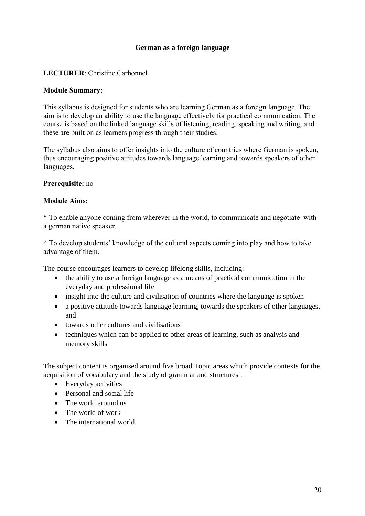# **German as a foreign language**

# **LECTURER**: Christine Carbonnel

#### **Module Summary:**

This syllabus is designed for students who are learning German as a foreign language. The aim is to develop an ability to use the language effectively for practical communication. The course is based on the linked language skills of listening, reading, speaking and writing, and these are built on as learners progress through their studies.

The syllabus also aims to offer insights into the culture of countries where German is spoken, thus encouraging positive attitudes towards language learning and towards speakers of other languages.

## **Prerequisite:** no

## **Module Aims:**

\* To enable anyone coming from wherever in the world, to communicate and negotiate with a german native speaker.

\* To develop students' knowledge of the cultural aspects coming into play and how to take advantage of them.

The course encourages learners to develop lifelong skills, including:

- the ability to use a foreign language as a means of practical communication in the everyday and professional life
- insight into the culture and civilisation of countries where the language is spoken
- a positive attitude towards language learning, towards the speakers of other languages, and
- towards other cultures and civilisations
- techniques which can be applied to other areas of learning, such as analysis and memory skills

The subject content is organised around five broad Topic areas which provide contexts for the acquisition of vocabulary and the study of grammar and structures :

- Everyday activities
- Personal and social life
- The world around us
- The world of work
- The international world.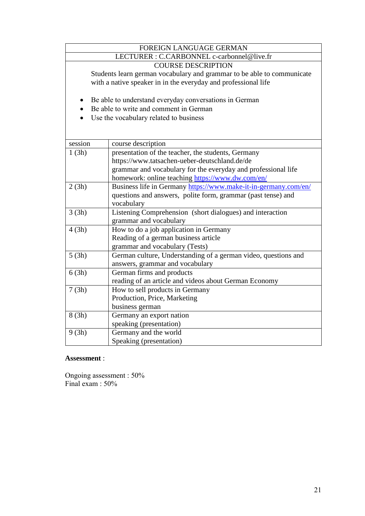| FOREIGN LANGUAGE GERMAN                    |                                                                        |  |  |  |
|--------------------------------------------|------------------------------------------------------------------------|--|--|--|
| LECTURER : C.CARBONNEL c-carbonnel@live.fr |                                                                        |  |  |  |
| <b>COURSE DESCRIPTION</b>                  |                                                                        |  |  |  |
|                                            | Students learn german vocabulary and grammar to be able to communicate |  |  |  |
|                                            | with a native speaker in in the everyday and professional life         |  |  |  |
|                                            |                                                                        |  |  |  |
|                                            | Be able to understand everyday conversations in German                 |  |  |  |
|                                            | Be able to write and comment in German                                 |  |  |  |
|                                            | Use the vocabulary related to business                                 |  |  |  |
|                                            |                                                                        |  |  |  |
|                                            |                                                                        |  |  |  |
| session                                    | course description                                                     |  |  |  |
| 1(3h)                                      | presentation of the teacher, the students, Germany                     |  |  |  |
|                                            | https://www.tatsachen-ueber-deutschland.de/de                          |  |  |  |
|                                            | grammar and vocabulary for the everyday and professional life          |  |  |  |
|                                            | homework: online teaching https://www.dw.com/en/                       |  |  |  |
| 2(3h)                                      | Business life in Germany https://www.make-it-in-germany.com/en/        |  |  |  |
|                                            | questions and answers, polite form, grammar (past tense) and           |  |  |  |
|                                            | vocabulary                                                             |  |  |  |
| 3(3h)                                      | Listening Comprehension (short dialogues) and interaction              |  |  |  |
|                                            | grammar and vocabulary                                                 |  |  |  |
|                                            | How to do a job application in Germany<br>4(3h)                        |  |  |  |
|                                            | Reading of a german business article                                   |  |  |  |
| grammar and vocabulary (Tests)             |                                                                        |  |  |  |
| 5(3h)                                      | German culture, Understanding of a german video, questions and         |  |  |  |
|                                            | answers, grammar and vocabulary                                        |  |  |  |
| 6(3h)                                      | German firms and products                                              |  |  |  |
| 7(3h)                                      | reading of an article and videos about German Economy                  |  |  |  |
|                                            | How to sell products in Germany<br>Production, Price, Marketing        |  |  |  |
|                                            | business german                                                        |  |  |  |
| 8(3h)                                      | Germany an export nation                                               |  |  |  |
|                                            | speaking (presentation)                                                |  |  |  |
| 9(3h)                                      | Germany and the world                                                  |  |  |  |
|                                            | Speaking (presentation)                                                |  |  |  |
|                                            |                                                                        |  |  |  |

## **Assessment** :

Ongoing assessment : 50% Final exam : 50%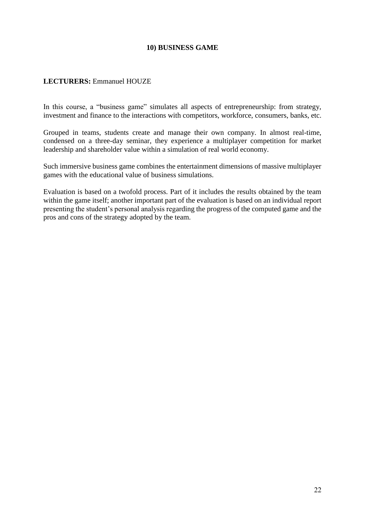# **10) BUSINESS GAME**

## LECTURERS: Emmanuel HOUZE

In this course, a "business game" simulates all aspects of entrepreneurship: from strategy, investment and finance to the interactions with competitors, workforce, consumers, banks, etc.

Grouped in teams, students create and manage their own company. In almost real-time, condensed on a three-day seminar, they experience a multiplayer competition for market leadership and shareholder value within a simulation of real world economy.

Such immersive business game combines the entertainment dimensions of massive multiplayer games with the educational value of business simulations.

Evaluation is based on a twofold process. Part of it includes the results obtained by the team within the game itself; another important part of the evaluation is based on an individual report presenting the student's personal analysis regarding the progress of the computed game and the pros and cons of the strategy adopted by the team.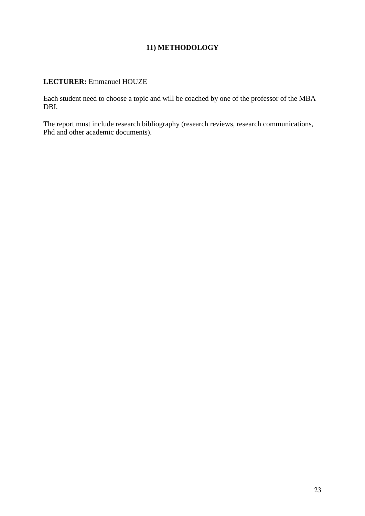# **11) METHODOLOGY**

## **LECTURER:** Emmanuel HOUZE

Each student need to choose a topic and will be coached by one of the professor of the MBA DBI.

The report must include research bibliography (research reviews, research communications, Phd and other academic documents).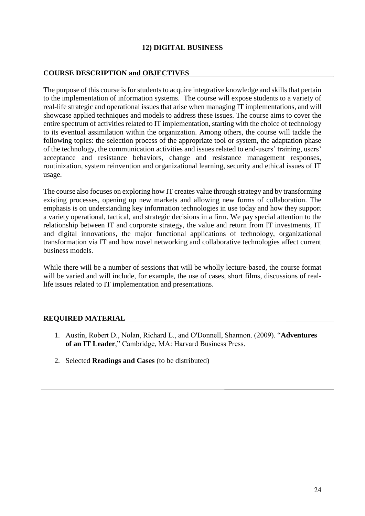# **12) DIGITAL BUSINESS**

## **COURSE DESCRIPTION and OBJECTIVES**

The purpose of this course is for students to acquire integrative knowledge and skills that pertain to the implementation of information systems. The course will expose students to a variety of real-life strategic and operational issues that arise when managing IT implementations, and will showcase applied techniques and models to address these issues. The course aims to cover the entire spectrum of activities related to IT implementation, starting with the choice of technology to its eventual assimilation within the organization. Among others, the course will tackle the following topics: the selection process of the appropriate tool or system, the adaptation phase of the technology, the communication activities and issues related to end-users' training, users' acceptance and resistance behaviors, change and resistance management responses, routinization, system reinvention and organizational learning, security and ethical issues of IT usage.

The course also focuses on exploring how IT creates value through strategy and by transforming existing processes, opening up new markets and allowing new forms of collaboration. The emphasis is on understanding key information technologies in use today and how they support a variety operational, tactical, and strategic decisions in a firm. We pay special attention to the relationship between IT and corporate strategy, the value and return from IT investments, IT and digital innovations, the major functional applications of technology, organizational transformation via IT and how novel networking and collaborative technologies affect current business models.

While there will be a number of sessions that will be wholly lecture-based, the course format will be varied and will include, for example, the use of cases, short films, discussions of reallife issues related to IT implementation and presentations.

#### **REQUIRED MATERIAL**

- 1. Austin, Robert D., Nolan, Richard L., and O'Donnell, Shannon. (2009). "**Adventures of an IT Leader**," Cambridge, MA: Harvard Business Press.
- 2. Selected **Readings and Cases** (to be distributed)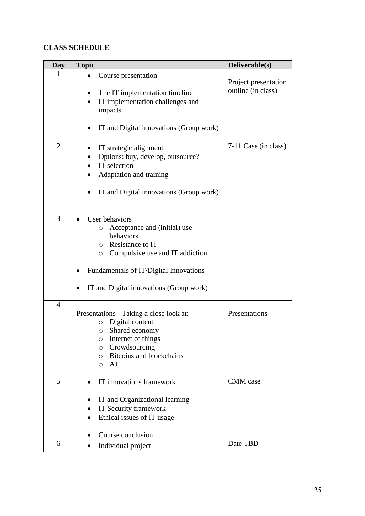# **CLASS SCHEDULE**

| Day            | <b>Topic</b>                                                                                                                                                                                                                                  | Deliverable(s)                             |
|----------------|-----------------------------------------------------------------------------------------------------------------------------------------------------------------------------------------------------------------------------------------------|--------------------------------------------|
| 1              | Course presentation<br>The IT implementation timeline<br>IT implementation challenges and                                                                                                                                                     | Project presentation<br>outline (in class) |
|                | impacts<br>IT and Digital innovations (Group work)                                                                                                                                                                                            |                                            |
| $\overline{2}$ | IT strategic alignment<br>Options: buy, develop, outsource?<br>IT selection<br>Adaptation and training<br>IT and Digital innovations (Group work)                                                                                             | 7-11 Case (in class)                       |
| 3              | User behaviors<br>Acceptance and (initial) use<br>$\circ$<br>behaviors<br>Resistance to IT<br>$\circ$<br>Compulsive use and IT addiction<br>$\circ$<br>Fundamentals of IT/Digital Innovations<br>IT and Digital innovations (Group work)<br>٠ |                                            |
| $\overline{4}$ | Presentations - Taking a close look at:<br>Digital content<br>$\circ$<br>Shared economy<br>O<br>Internet of things<br>O<br>Crowdsourcing<br>$\circ$<br><b>Bitcoins and blockchains</b><br>$\circ$<br>AI<br>$\circ$                            | Presentations                              |
| 5              | IT innovations framework<br>$\bullet$<br>IT and Organizational learning<br>IT Security framework<br>Ethical issues of IT usage<br>Course conclusion                                                                                           | <b>CMM</b> case                            |
| 6              | Individual project                                                                                                                                                                                                                            | Date TBD                                   |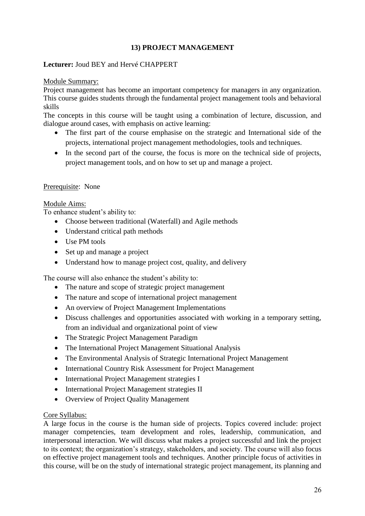# **13) PROJECT MANAGEMENT**

## **Lecturer:** Joud BEY and Hervé CHAPPERT

#### Module Summary:

Project management has become an important competency for managers in any organization. This course guides students through the fundamental project management tools and behavioral skills

The concepts in this course will be taught using a combination of lecture, discussion, and dialogue around cases, with emphasis on active learning:

- The first part of the course emphasise on the strategic and International side of the projects, international project management methodologies, tools and techniques.
- In the second part of the course, the focus is more on the technical side of projects, project management tools, and on how to set up and manage a project.

#### Prerequisite: None

## Module Aims:

To enhance student's ability to:

- Choose between traditional (Waterfall) and Agile methods
- Understand critical path methods
- Use PM tools
- Set up and manage a project
- Understand how to manage project cost, quality, and delivery

The course will also enhance the student's ability to:

- The nature and scope of strategic project management
- The nature and scope of international project management
- An overview of Project Management Implementations
- Discuss challenges and opportunities associated with working in a temporary setting, from an individual and organizational point of view
- The Strategic Project Management Paradigm
- The International Project Management Situational Analysis
- The Environmental Analysis of Strategic International Project Management
- International Country Risk Assessment for Project Management
- International Project Management strategies I
- International Project Management strategies II
- Overview of Project Quality Management

#### Core Syllabus:

A large focus in the course is the human side of projects. Topics covered include: project manager competencies, team development and roles, leadership, communication, and interpersonal interaction. We will discuss what makes a project successful and link the project to its context; the organization's strategy, stakeholders, and society. The course will also focus on effective project management tools and techniques. Another principle focus of activities in this course, will be on the study of international strategic project management, its planning and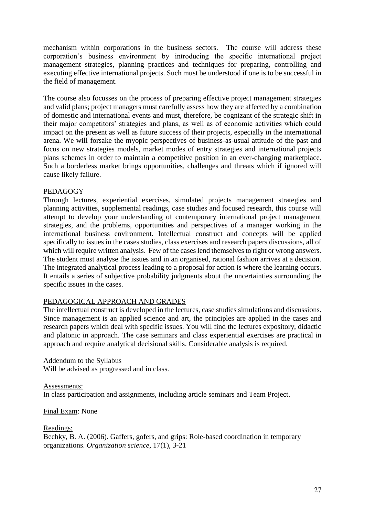mechanism within corporations in the business sectors. The course will address these corporation's business environment by introducing the specific international project management strategies, planning practices and techniques for preparing, controlling and executing effective international projects. Such must be understood if one is to be successful in the field of management.

The course also focusses on the process of preparing effective project management strategies and valid plans; project managers must carefully assess how they are affected by a combination of domestic and international events and must, therefore, be cognizant of the strategic shift in their major competitors' strategies and plans, as well as of economic activities which could impact on the present as well as future success of their projects, especially in the international arena. We will forsake the myopic perspectives of business-as-usual attitude of the past and focus on new strategies models, market modes of entry strategies and international projects plans schemes in order to maintain a competitive position in an ever-changing marketplace. Such a borderless market brings opportunities, challenges and threats which if ignored will cause likely failure.

## PEDAGOGY

Through lectures, experiential exercises, simulated projects management strategies and planning activities, supplemental readings, case studies and focused research, this course will attempt to develop your understanding of contemporary international project management strategies, and the problems, opportunities and perspectives of a manager working in the international business environment. Intellectual construct and concepts will be applied specifically to issues in the cases studies, class exercises and research papers discussions, all of which will require written analysis. Few of the cases lend themselves to right or wrong answers. The student must analyse the issues and in an organised, rational fashion arrives at a decision. The integrated analytical process leading to a proposal for action is where the learning occurs. It entails a series of subjective probability judgments about the uncertainties surrounding the specific issues in the cases.

# PEDAGOGICAL APPROACH AND GRADES

The intellectual construct is developed in the lectures, case studies simulations and discussions. Since management is an applied science and art, the principles are applied in the cases and research papers which deal with specific issues. You will find the lectures expository, didactic and platonic in approach. The case seminars and class experiential exercises are practical in approach and require analytical decisional skills. Considerable analysis is required.

#### Addendum to the Syllabus

Will be advised as progressed and in class.

#### Assessments:

In class participation and assignments, including article seminars and Team Project.

Final Exam: None

#### Readings: Bechky, B. A. (2006). Gaffers, gofers, and grips: Role-based coordination in temporary organizations. *Organization science*, 17(1), 3-21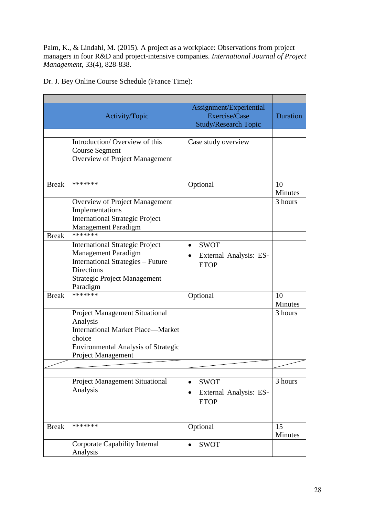Palm, K., & Lindahl, M. (2015). A project as a workplace: Observations from project managers in four R&D and project-intensive companies. *International Journal of Project Management*, 33(4), 828-838.

Dr. J. Bey Online Course Schedule (France Time):

|              | Activity/Topic                                                                                                                                                                           | Assignment/Experiential<br>Exercise/Case<br><b>Study/Research Topic</b>        | <b>Duration</b>      |
|--------------|------------------------------------------------------------------------------------------------------------------------------------------------------------------------------------------|--------------------------------------------------------------------------------|----------------------|
|              |                                                                                                                                                                                          |                                                                                |                      |
|              | Introduction/Overview of this<br><b>Course Segment</b><br>Overview of Project Management                                                                                                 | Case study overview                                                            |                      |
| <b>Break</b> | *******                                                                                                                                                                                  | Optional                                                                       | 10<br><b>Minutes</b> |
|              | Overview of Project Management<br>Implementations<br><b>International Strategic Project</b><br><b>Management Paradigm</b>                                                                |                                                                                | 3 hours              |
| <b>Break</b> | *******                                                                                                                                                                                  |                                                                                |                      |
|              | <b>International Strategic Project</b><br><b>Management Paradigm</b><br><b>International Strategies - Future</b><br><b>Directions</b><br><b>Strategic Project Management</b><br>Paradigm | <b>SWOT</b><br>$\bullet$<br>External Analysis: ES-<br><b>ETOP</b>              |                      |
| <b>Break</b> | *******                                                                                                                                                                                  | Optional                                                                       | 10<br>Minutes        |
|              | <b>Project Management Situational</b><br>Analysis<br><b>International Market Place—Market</b><br>choice<br><b>Environmental Analysis of Strategic</b><br><b>Project Management</b>       |                                                                                | 3 hours              |
|              |                                                                                                                                                                                          |                                                                                |                      |
|              |                                                                                                                                                                                          |                                                                                |                      |
|              | <b>Project Management Situational</b><br>Analysis                                                                                                                                        | <b>SWOT</b><br>$\bullet$<br>External Analysis: ES-<br>$\bullet$<br><b>ETOP</b> | 3 hours              |
| <b>Break</b> | *******                                                                                                                                                                                  | Optional                                                                       | 15<br>Minutes        |
|              | <b>Corporate Capability Internal</b><br>Analysis                                                                                                                                         | <b>SWOT</b><br>$\bullet$                                                       |                      |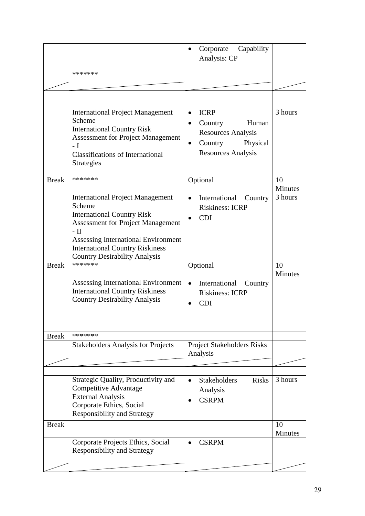|              |                                                                                                                                                                                                                                    | Capability<br>Corporate<br>$\bullet$                                                       |                      |
|--------------|------------------------------------------------------------------------------------------------------------------------------------------------------------------------------------------------------------------------------------|--------------------------------------------------------------------------------------------|----------------------|
|              |                                                                                                                                                                                                                                    | Analysis: CP                                                                               |                      |
|              | *******                                                                                                                                                                                                                            |                                                                                            |                      |
|              |                                                                                                                                                                                                                                    |                                                                                            |                      |
|              |                                                                                                                                                                                                                                    |                                                                                            |                      |
|              | <b>International Project Management</b><br>Scheme<br><b>International Country Risk</b>                                                                                                                                             | <b>ICRP</b><br>$\bullet$<br>Human<br>Country                                               | 3 hours              |
|              | <b>Assessment for Project Management</b><br>- I<br><b>Classifications of International</b><br><b>Strategies</b>                                                                                                                    | <b>Resources Analysis</b><br>Physical<br>Country<br>$\bullet$<br><b>Resources Analysis</b> |                      |
| <b>Break</b> | *******                                                                                                                                                                                                                            | Optional                                                                                   | 10<br>Minutes        |
|              | <b>International Project Management</b><br>Scheme<br><b>International Country Risk</b><br><b>Assessment for Project Management</b><br>- II<br><b>Assessing International Environment</b><br><b>International Country Riskiness</b> | International<br>Country<br>$\bullet$<br><b>Riskiness: ICRP</b><br><b>CDI</b>              | 3 hours              |
|              | <b>Country Desirability Analysis</b>                                                                                                                                                                                               |                                                                                            |                      |
| <b>Break</b> | *******                                                                                                                                                                                                                            | Optional                                                                                   | 10<br><b>Minutes</b> |
|              | <b>Assessing International Environment</b><br><b>International Country Riskiness</b><br><b>Country Desirability Analysis</b>                                                                                                       | International<br>Country<br>$\bullet$<br><b>Riskiness: ICRP</b><br><b>CDI</b>              |                      |
| <b>Break</b> | *******                                                                                                                                                                                                                            |                                                                                            |                      |
|              | <b>Stakeholders Analysis for Projects</b>                                                                                                                                                                                          | <b>Project Stakeholders Risks</b><br>Analysis                                              |                      |
|              |                                                                                                                                                                                                                                    |                                                                                            |                      |
|              | Strategic Quality, Productivity and<br><b>Competitive Advantage</b><br><b>External Analysis</b><br>Corporate Ethics, Social<br><b>Responsibility and Strategy</b>                                                                  | <b>Stakeholders</b><br><b>Risks</b><br>Analysis<br><b>CSRPM</b>                            | 3 hours              |
| <b>Break</b> |                                                                                                                                                                                                                                    |                                                                                            | 10<br>Minutes        |
|              | Corporate Projects Ethics, Social<br><b>Responsibility and Strategy</b>                                                                                                                                                            | <b>CSRPM</b>                                                                               |                      |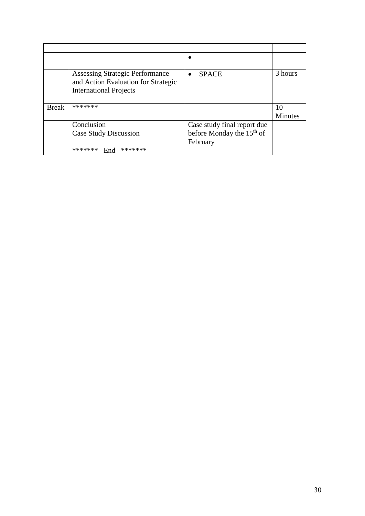|              | <b>Assessing Strategic Performance</b><br>and Action Evaluation for Strategic<br><b>International Projects</b> | <b>SPACE</b><br>$\bullet$                                                        | 3 hours              |
|--------------|----------------------------------------------------------------------------------------------------------------|----------------------------------------------------------------------------------|----------------------|
| <b>Break</b> | *******                                                                                                        |                                                                                  | 10<br><b>Minutes</b> |
|              | Conclusion<br><b>Case Study Discussion</b>                                                                     | Case study final report due<br>before Monday the 15 <sup>th</sup> of<br>February |                      |
|              | *******<br>*******<br>End                                                                                      |                                                                                  |                      |